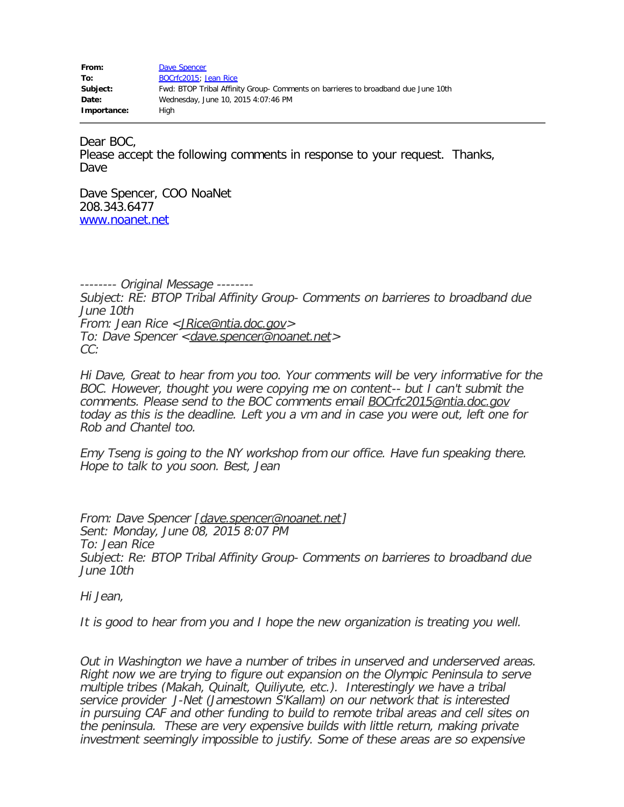| From:       | Dave Spencer                                                                      |
|-------------|-----------------------------------------------------------------------------------|
| To:         | BOCrfc2015; Jean Rice                                                             |
| Subject:    | Fwd: BTOP Tribal Affinity Group- Comments on barrieres to broadband due June 10th |
| Date:       | Wednesday, June 10, 2015 4:07:46 PM                                               |
| Importance: | Hiah                                                                              |

Dear BOC,

Please accept the following comments in response to your request. Thanks, Dave

Dave Spencer, COO NoaNet 208.343.6477 [www.noanet.net](http://www.noanet.net/)

-------- Original Message -------- Subject: RE: BTOP Tribal Affinity Group- Comments on barrieres to broadband due June 10th From: Jean Rice <[JRice@ntia.doc.gov](mailto:JRice@ntia.doc.gov)> To: Dave Spencer < [dave.spencer@noanet.net](mailto:dave.spencer@noanet.net) > CC:

Hi Dave, Great to hear from you too. Your comments will be very informative for the BOC. However, thought you were copying me on content-- but I can't submit the comments. Please send to the BOC comments email **[BOCrfc2015@ntia.doc.gov](mailto:BOCrfc2015@ntia.doc.gov)** today as this is the deadline. Left you a vm and in case you were out, left one for Rob and Chantel too.

Emy Tseng is going to the NY workshop from our office. Have fun speaking there. Hope to talk to you soon. Best, Jean

From: Dave Spencer [[dave.spencer@noanet.net\]](mailto:dave.spencer@noanet.net) Sent: Monday, June 08, 2015 8:07 PM To: Jean Rice Subject: Re: BTOP Tribal Affinity Group- Comments on barrieres to broadband due June 10th

Hi Jean,

It is good to hear from you and I hope the new organization is treating you well.

Out in Washington we have a number of tribes in unserved and underserved areas. Right now we are trying to figure out expansion on the Olympic Peninsula to serve multiple tribes (Makah, Quinalt, Quiliyute, etc.). Interestingly we have a tribal service provider J-Net (Jamestown S'Kallam) on our network that is interested in pursuing CAF and other funding to build to remote tribal areas and cell sites on the peninsula. These are very expensive builds with little return, making private investment seemingly impossible to justify. Some of these areas are so expensive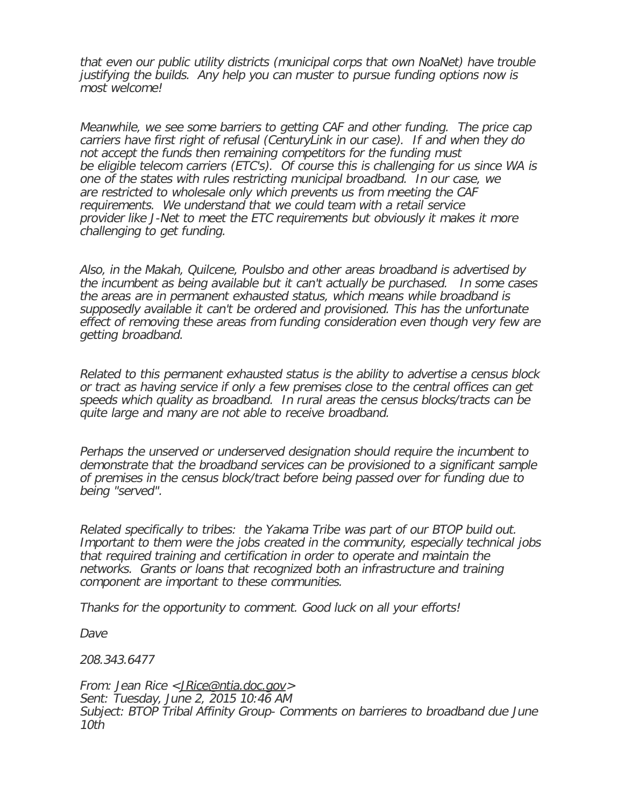that even our public utility districts (municipal corps that own NoaNet) have trouble justifying the builds. Any help you can muster to pursue funding options now is most welcome!

Meanwhile, we see some barriers to getting CAF and other funding. The price cap carriers have first right of refusal (CenturyLink in our case). If and when they do not accept the funds then remaining competitors for the funding must be eligible telecom carriers (ETC's). Of course this is challenging for us since WA is one of the states with rules restricting municipal broadband. In our case, we are restricted to wholesale only which prevents us from meeting the CAF requirements. We understand that we could team with a retail service provider like J-Net to meet the ETC requirements but obviously it makes it more challenging to get funding.

Also, in the Makah, Quilcene, Poulsbo and other areas broadband is advertised by the incumbent as being available but it can't actually be purchased. In some cases the areas are in permanent exhausted status, which means while broadband is supposedly available it can't be ordered and provisioned. This has the unfortunate effect of removing these areas from funding consideration even though very few are getting broadband.

Related to this permanent exhausted status is the ability to advertise a census block or tract as having service if only a few premises close to the central offices can get speeds which quality as broadband. In rural areas the census blocks/tracts can be quite large and many are not able to receive broadband.

Perhaps the unserved or underserved designation should require the incumbent to demonstrate that the broadband services can be provisioned to a significant sample of premises in the census block/tract before being passed over for funding due to being "served".

Related specifically to tribes: the Yakama Tribe was part of our BTOP build out. Important to them were the jobs created in the community, especially technical jobs that required training and certification in order to operate and maintain the networks. Grants or loans that recognized both an infrastructure and training component are important to these communities.

Thanks for the opportunity to comment. Good luck on all your efforts!

Dave

208.343.6477

From: Jean Rice <[JRice@ntia.doc.gov](mailto:JRice@ntia.doc.gov)> Sent: Tuesday, June 2, 2015 10:46 AM Subject: BTOP Tribal Affinity Group- Comments on barrieres to broadband due June 10th